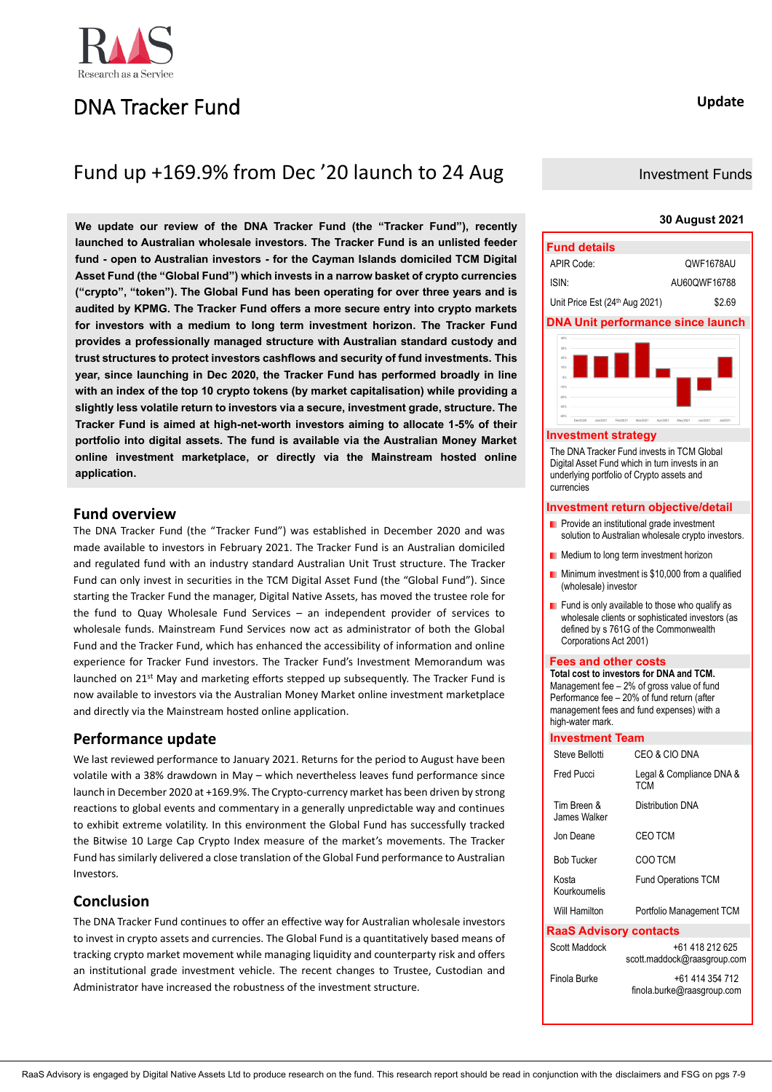

# DNA Tracker Fund

# Fund up +169.9% from Dec '20 launch to 24 Aug

**We update our review of the DNA Tracker Fund (the "Tracker Fund"), recently launched to Australian wholesale investors. The Tracker Fund is an unlisted feeder fund - open to Australian investors - for the Cayman Islands domiciled TCM Digital Asset Fund (the "Global Fund") which invests in a narrow basket of crypto currencies ("crypto", "token"). The Global Fund has been operating for over three years and is audited by KPMG. The Tracker Fund offers a more secure entry into crypto markets for investors with a medium to long term investment horizon. The Tracker Fund provides a professionally managed structure with Australian standard custody and trust structures to protect investors cashflows and security of fund investments. This year, since launching in Dec 2020, the Tracker Fund has performed broadly in line with an index of the top 10 crypto tokens (by market capitalisation) while providing a slightly less volatile return to investors via a secure, investment grade, structure. The Tracker Fund is aimed at high-net-worth investors aiming to allocate 1-5% of their portfolio into digital assets. The fund is available via the Australian Money Market online investment marketplace, or directly via the Mainstream hosted online application.**

## **Fund overview**

The DNA Tracker Fund (the "Tracker Fund") was established in December 2020 and was made available to investors in February 2021. The Tracker Fund is an Australian domiciled and regulated fund with an industry standard Australian Unit Trust structure. The Tracker Fund can only invest in securities in the TCM Digital Asset Fund (the "Global Fund"). Since starting the Tracker Fund the manager, Digital Native Assets, has moved the trustee role for the fund to Quay Wholesale Fund Services – an independent provider of services to wholesale funds. Mainstream Fund Services now act as administrator of both the Global Fund and the Tracker Fund, which has enhanced the accessibility of information and online experience for Tracker Fund investors. The Tracker Fund's Investment Memorandum was launched on 21st May and marketing efforts stepped up subsequently. The Tracker Fund is now available to investors via the Australian Money Market online investment marketplace and directly via the Mainstream hosted online application.

## **Performance update**

We last reviewed performance to January 2021. Returns for the period to August have been volatile with a 38% drawdown in May – which nevertheless leaves fund performance since launch in December 2020 at +169.9%. The Crypto-currency market has been driven by strong reactions to global events and commentary in a generally unpredictable way and continues to exhibit extreme volatility. In this environment the Global Fund has successfully tracked the Bitwise 10 Large Cap Crypto Index measure of the market's movements. The Tracker Fund has similarly delivered a close translation of the Global Fund performance to Australian Investors.

## **Conclusion**

The DNA Tracker Fund continues to offer an effective way for Australian wholesale investors to invest in crypto assets and currencies. The Global Fund is a quantitatively based means of tracking crypto market movement while managing liquidity and counterparty risk and offers an institutional grade investment vehicle. The recent changes to Trustee, Custodian and Administrator have increased the robustness of the investment structure.

## **Update**

## Investment Funds

### **30 August 2021**



#### **Investment strategy**

The DNA Tracker Fund invests in TCM Global Digital Asset Fund which in turn invests in an underlying portfolio of Crypto assets and currencies

### **Investment return objective/detail**

- **Provide an institutional grade investment** solution to Australian wholesale crypto investors.
- **Medium to long term investment horizon**
- **Minimum investment is \$10,000 from a qualified** (wholesale) investor
- Fund is only available to those who qualify as wholesale clients or sophisticated investors (as defined by s 761G of the Commonwealth Corporations Act 2001)

### **Fees and other costs**

**Total cost to investors for DNA and TCM.** Management fee – 2% of gross value of fund Performance fee – 20% of fund return (after management fees and fund expenses) with a high-water mark

### **Investment Team**

| Steve Bellotti                | CEO & CIO DNA                                  |
|-------------------------------|------------------------------------------------|
| Fred Pucci                    | Legal & Compliance DNA &<br><b>TCM</b>         |
| Tim Breen &<br>James Walker   | Distribution DNA                               |
| Jon Deane                     | <b>CEO TCM</b>                                 |
| <b>Bob Tucker</b>             | COO TCM                                        |
| Kosta<br>Kourkoumelis         | <b>Fund Operations TCM</b>                     |
| Will Hamilton                 | Portfolio Management TCM                       |
| <b>RaaS Advisory contacts</b> |                                                |
| Scott Maddock                 | +61 418 212 625<br>scott.maddock@raasgroup.com |
| Finola Burke                  | +61 414 354 712<br>finola.burke@raasgroup.com  |
|                               |                                                |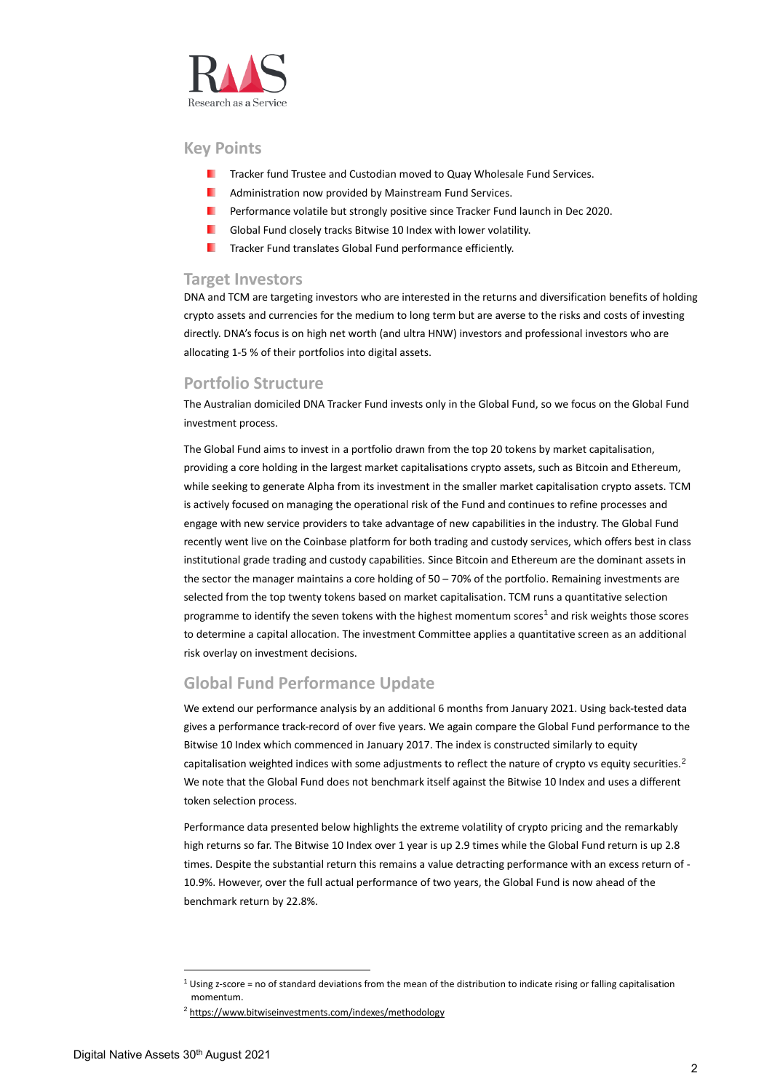

## **Key Points**

- ш Tracker fund Trustee and Custodian moved to Quay Wholesale Fund Services.
- ٠ Administration now provided by Mainstream Fund Services.
- Performance volatile but strongly positive since Tracker Fund launch in Dec 2020. .
- Global Fund closely tracks Bitwise 10 Index with lower volatility. ш
- ш Tracker Fund translates Global Fund performance efficiently.

## **Target Investors**

DNA and TCM are targeting investors who are interested in the returns and diversification benefits of holding crypto assets and currencies for the medium to long term but are averse to the risks and costs of investing directly. DNA's focus is on high net worth (and ultra HNW) investors and professional investors who are allocating 1-5 % of their portfolios into digital assets.

## **Portfolio Structure**

The Australian domiciled DNA Tracker Fund invests only in the Global Fund, so we focus on the Global Fund investment process.

The Global Fund aims to invest in a portfolio drawn from the top 20 tokens by market capitalisation, providing a core holding in the largest market capitalisations crypto assets, such as Bitcoin and Ethereum, while seeking to generate Alpha from its investment in the smaller market capitalisation crypto assets. TCM is actively focused on managing the operational risk of the Fund and continues to refine processes and engage with new service providers to take advantage of new capabilities in the industry. The Global Fund recently went live on the Coinbase platform for both trading and custody services, which offers best in class institutional grade trading and custody capabilities. Since Bitcoin and Ethereum are the dominant assets in the sector the manager maintains a core holding of 50 – 70% of the portfolio. Remaining investments are selected from the top twenty tokens based on market capitalisation. TCM runs a quantitative selection programme to identify the seven tokens with the highest momentum scores<sup>1</sup> and risk weights those scores to determine a capital allocation. The investment Committee applies a quantitative screen as an additional risk overlay on investment decisions.

## **Global Fund Performance Update**

We extend our performance analysis by an additional 6 months from January 2021. Using back-tested data gives a performance track-record of over five years. We again compare the Global Fund performance to the Bitwise 10 Index which commenced in January 2017. The index is constructed similarly to equity capitalisation weighted indices with some adjustments to reflect the nature of crypto vs equity securities.<sup>2</sup> We note that the Global Fund does not benchmark itself against the Bitwise 10 Index and uses a different token selection process.

Performance data presented below highlights the extreme volatility of crypto pricing and the remarkably high returns so far. The Bitwise 10 Index over 1 year is up 2.9 times while the Global Fund return is up 2.8 times. Despite the substantial return this remains a value detracting performance with an excess return of - 10.9%. However, over the full actual performance of two years, the Global Fund is now ahead of the benchmark return by 22.8%.

 $1$  Using z-score = no of standard deviations from the mean of the distribution to indicate rising or falling capitalisation momentum.

<sup>2</sup> <https://www.bitwiseinvestments.com/indexes/methodology>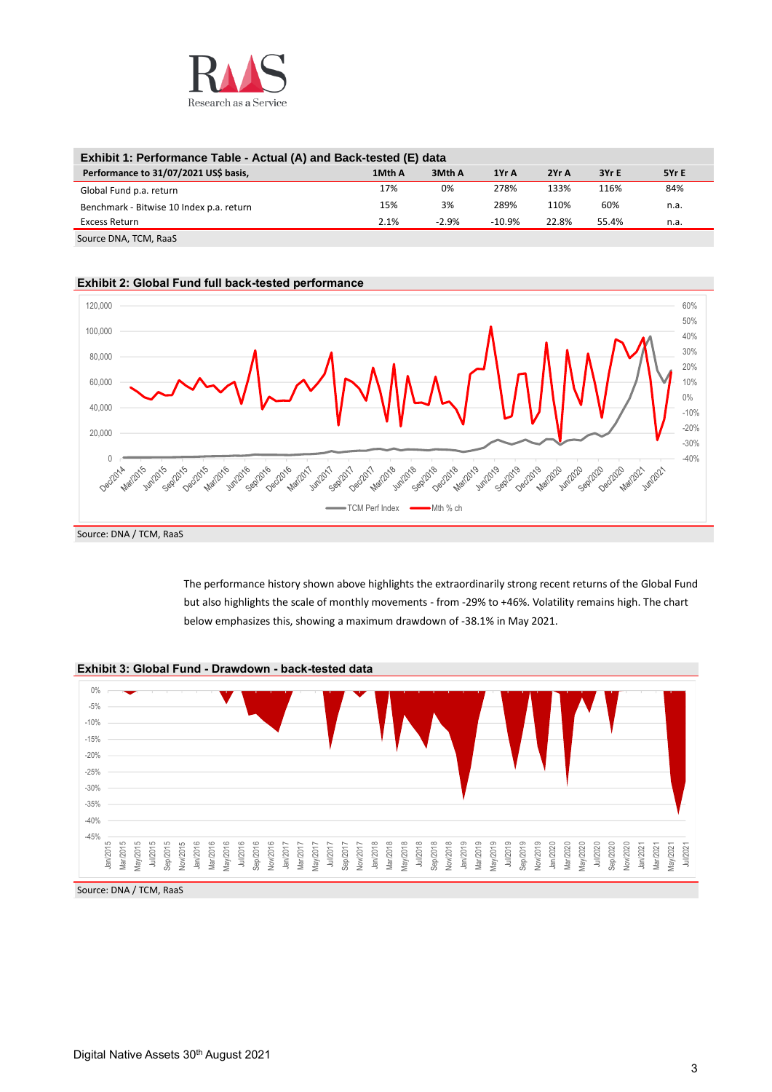

| Exhibit 1: Performance Table - Actual (A) and Back-tested (E) data |        |         |          |       |       |       |
|--------------------------------------------------------------------|--------|---------|----------|-------|-------|-------|
| Performance to 31/07/2021 US\$ basis,                              | 1Mth A | 3Mth A  | 1Yr A    | 2Yr A | 3Yr E | 5Yr E |
| Global Fund p.a. return                                            | 17%    | 0%      | 278%     | 133%  | 116%  | 84%   |
| Benchmark - Bitwise 10 Index p.a. return                           | 15%    | 3%      | 289%     | 110%  | 60%   | n.a.  |
| Excess Return                                                      | 2.1%   | $-2.9%$ | $-10.9%$ | 22.8% | 55.4% | n.a.  |
| $C_{\text{max}}$ DNIA TOM $D_{\text{max}}$                         |        |         |          |       |       |       |

Source DNA, TCM, RaaS





The performance history shown above highlights the extraordinarily strong recent returns of the Global Fund but also highlights the scale of monthly movements - from -29% to +46%. Volatility remains high. The chart below emphasizes this, showing a maximum drawdown of -38.1% in May 2021.



### **Exhibit 3: Global Fund - Drawdown - back-tested data**

Source: DNA / TCM, RaaS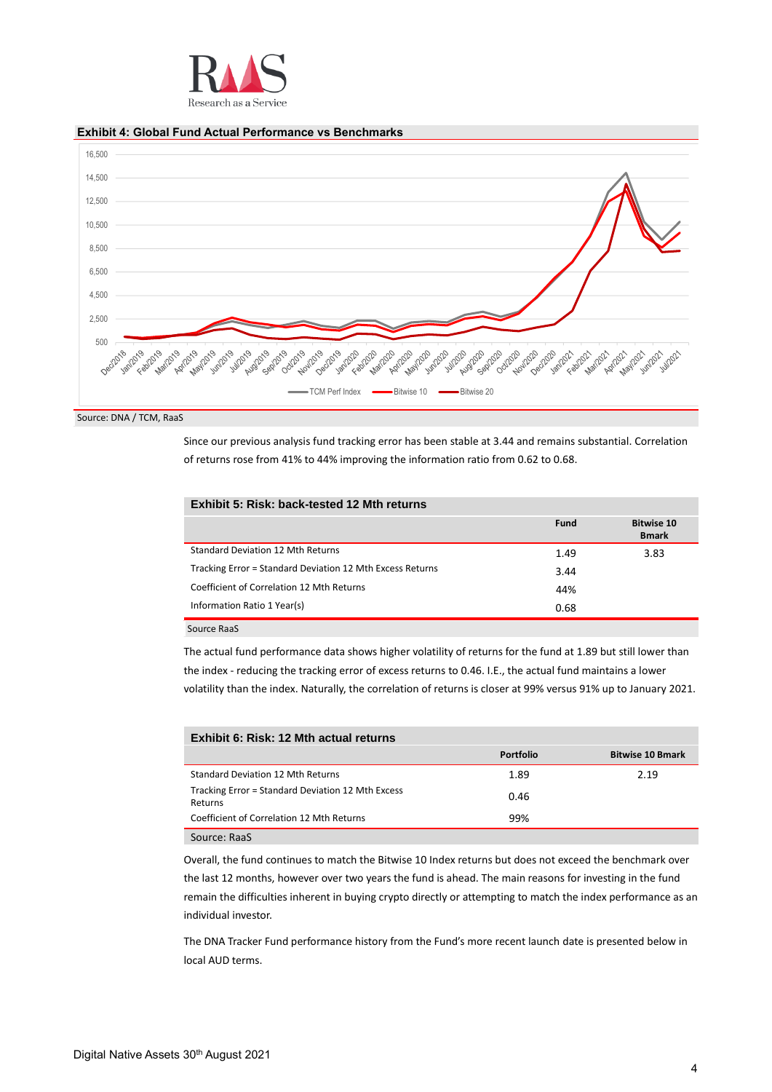

## **Exhibit 4: Global Fund Actual Performance vs Benchmarks**



Source: DNA / TCM, RaaS

Since our previous analysis fund tracking error has been stable at 3.44 and remains substantial. Correlation of returns rose from 41% to 44% improving the information ratio from 0.62 to 0.68.

| Exhibit 5: Risk: back-tested 12 Mth returns               |             |                                   |
|-----------------------------------------------------------|-------------|-----------------------------------|
|                                                           | <b>Fund</b> | <b>Bitwise 10</b><br><b>Bmark</b> |
| Standard Deviation 12 Mth Returns                         | 1.49        | 3.83                              |
| Tracking Error = Standard Deviation 12 Mth Excess Returns | 3.44        |                                   |
| Coefficient of Correlation 12 Mth Returns                 | 44%         |                                   |
| Information Ratio 1 Year(s)                               | 0.68        |                                   |

Source RaaS

The actual fund performance data shows higher volatility of returns for the fund at 1.89 but still lower than the index - reducing the tracking error of excess returns to 0.46. I.E., the actual fund maintains a lower volatility than the index. Naturally, the correlation of returns is closer at 99% versus 91% up to January 2021.

| Exhibit 6; Risk: 12 Mth actual returns                       |                  |                         |
|--------------------------------------------------------------|------------------|-------------------------|
|                                                              | <b>Portfolio</b> | <b>Bitwise 10 Bmark</b> |
| Standard Deviation 12 Mth Returns                            | 1.89             | 2.19                    |
| Tracking Error = Standard Deviation 12 Mth Excess<br>Returns | 0.46             |                         |
| Coefficient of Correlation 12 Mth Returns                    | 99%              |                         |
| Source: RaaS                                                 |                  |                         |

Overall, the fund continues to match the Bitwise 10 Index returns but does not exceed the benchmark over the last 12 months, however over two years the fund is ahead. The main reasons for investing in the fund remain the difficulties inherent in buying crypto directly or attempting to match the index performance as an individual investor.

The DNA Tracker Fund performance history from the Fund's more recent launch date is presented below in local AUD terms.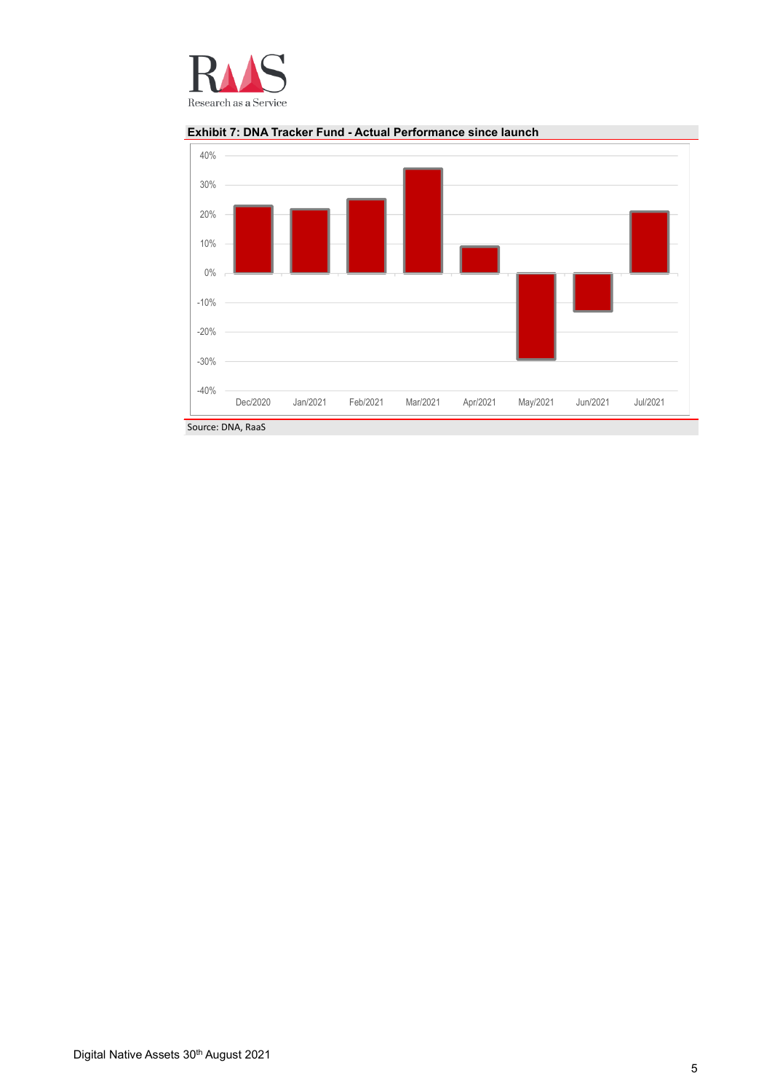



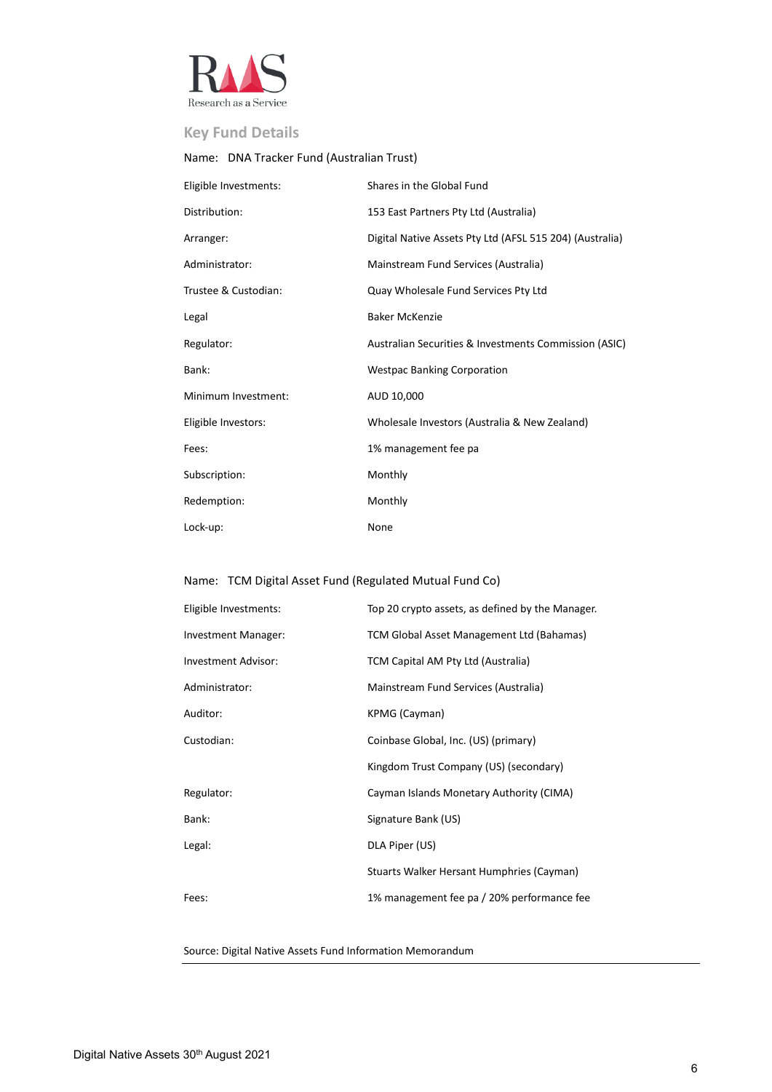

# **Key Fund Details**

# Name: DNA Tracker Fund (Australian Trust)

| Eligible Investments: | Shares in the Global Fund                                |
|-----------------------|----------------------------------------------------------|
| Distribution:         | 153 East Partners Pty Ltd (Australia)                    |
| Arranger:             | Digital Native Assets Pty Ltd (AFSL 515 204) (Australia) |
| Administrator:        | Mainstream Fund Services (Australia)                     |
| Trustee & Custodian:  | Quay Wholesale Fund Services Pty Ltd                     |
| Legal                 | <b>Baker McKenzie</b>                                    |
| Regulator:            | Australian Securities & Investments Commission (ASIC)    |
| Bank:                 | <b>Westpac Banking Corporation</b>                       |
| Minimum Investment:   | AUD 10,000                                               |
| Eligible Investors:   | Wholesale Investors (Australia & New Zealand)            |
| Fees:                 | 1% management fee pa                                     |
| Subscription:         | Monthly                                                  |
| Redemption:           | Monthly                                                  |
| Lock-up:              | None                                                     |

## Name: TCM Digital Asset Fund (Regulated Mutual Fund Co)

| Eligible Investments:      | Top 20 crypto assets, as defined by the Manager. |
|----------------------------|--------------------------------------------------|
| Investment Manager:        | TCM Global Asset Management Ltd (Bahamas)        |
| <b>Investment Advisor:</b> | TCM Capital AM Pty Ltd (Australia)               |
| Administrator:             | Mainstream Fund Services (Australia)             |
| Auditor:                   | KPMG (Cayman)                                    |
| Custodian:                 | Coinbase Global, Inc. (US) (primary)             |
|                            | Kingdom Trust Company (US) (secondary)           |
| Regulator:                 | Cayman Islands Monetary Authority (CIMA)         |
| Bank:                      | Signature Bank (US)                              |
| Legal:                     | DLA Piper (US)                                   |
|                            | Stuarts Walker Hersant Humphries (Cayman)        |
| Fees:                      | 1% management fee pa / 20% performance fee       |

Source: Digital Native Assets Fund Information Memorandum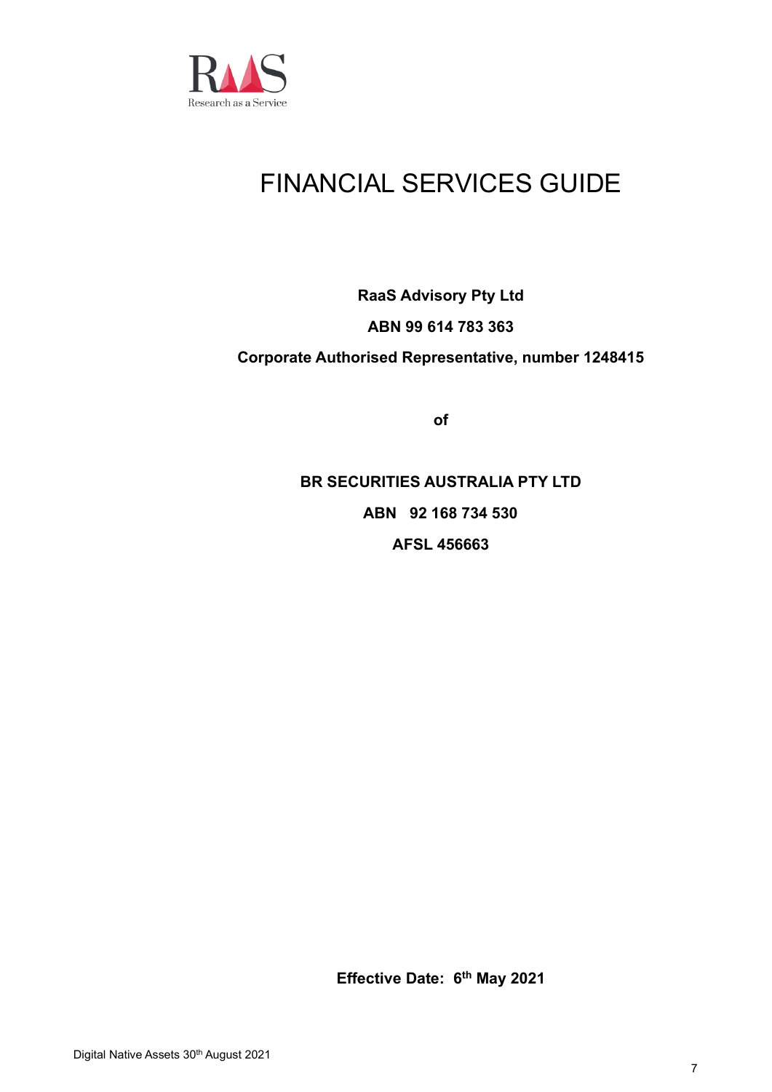

# FINANCIAL SERVICES GUIDE

# **RaaS Advisory Pty Ltd ABN 99 614 783 363 Corporate Authorised Representative, number 1248415**

**of**

**BR SECURITIES AUSTRALIA PTY LTD ABN 92 168 734 530 AFSL 456663**

**Effective Date: 6 th May 2021**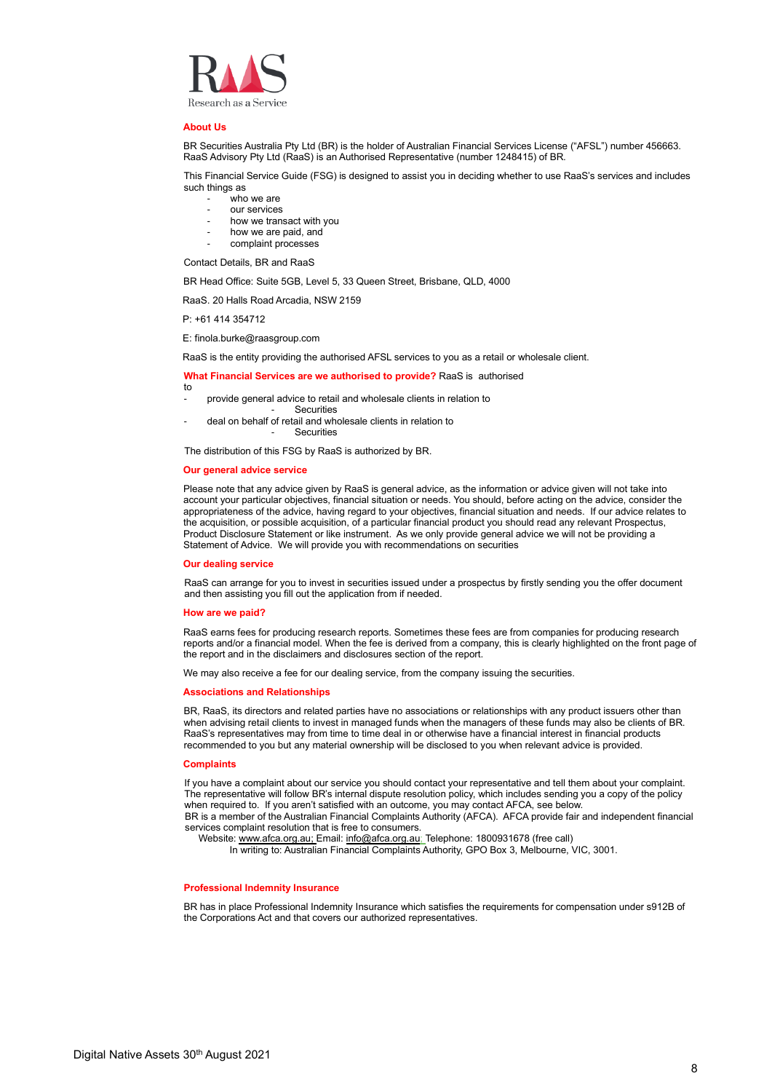

#### **About Us**

BR Securities Australia Pty Ltd (BR) is the holder of Australian Financial Services License ("AFSL") number 456663. RaaS Advisory Pty Ltd (RaaS) is an Authorised Representative (number 1248415) of BR.

This Financial Service Guide (FSG) is designed to assist you in deciding whether to use RaaS's services and includes such things as

- who we are
- our services
- how we transact with you
- how we are paid, and
- complaint processes

Contact Details, BR and RaaS

BR Head Office: Suite 5GB, Level 5, 33 Queen Street, Brisbane, QLD, 4000

RaaS. 20 Halls Road Arcadia, NSW 2159

P: +61 414 354712

E: finola.burke@raasgroup.com

RaaS is the entity providing the authorised AFSL services to you as a retail or wholesale client.

#### **What Financial Services are we authorised to provide?** RaaS is authorised

- to provide general advice to retail and wholesale clients in relation to
- **Securities**
- deal on behalf of retail and wholesale clients in relation to **Securities**

The distribution of this FSG by RaaS is authorized by BR.

#### **Our general advice service**

Please note that any advice given by RaaS is general advice, as the information or advice given will not take into account your particular objectives, financial situation or needs. You should, before acting on the advice, consider the appropriateness of the advice, having regard to your objectives, financial situation and needs. If our advice relates to the acquisition, or possible acquisition, of a particular financial product you should read any relevant Prospectus, Product Disclosure Statement or like instrument. As we only provide general advice we will not be providing a Statement of Advice. We will provide you with recommendations on securities

#### **Our dealing service**

RaaS can arrange for you to invest in securities issued under a prospectus by firstly sending you the offer document and then assisting you fill out the application from if needed.

#### **How are we paid?**

RaaS earns fees for producing research reports. Sometimes these fees are from companies for producing research reports and/or a financial model. When the fee is derived from a company, this is clearly highlighted on the front page of the report and in the disclaimers and disclosures section of the report.

We may also receive a fee for our dealing service, from the company issuing the securities.

#### **Associations and Relationships**

BR, RaaS, its directors and related parties have no associations or relationships with any product issuers other than when advising retail clients to invest in managed funds when the managers of these funds may also be clients of BR. RaaS's representatives may from time to time deal in or otherwise have a financial interest in financial products recommended to you but any material ownership will be disclosed to you when relevant advice is provided.

#### **Complaints**

If you have a complaint about our service you should contact your representative and tell them about your complaint. The representative will follow BR's internal dispute resolution policy, which includes sending you a copy of the policy when required to. If you aren't satisfied with an outcome, you may contact AFCA, see below. BR is a member of the Australian Financial Complaints Authority (AFCA). AFCA provide fair and independent financial services complaint resolution that is free to consumers.

Website[: www.afca.org.au;](http://www.afca.org.au/) Email: [info@afca.org.au;](mailto:info@afca.org.au) Telephone: 1800931678 (free call)

In writing to: Australian Financial Complaints Authority, GPO Box 3, Melbourne, VIC, 3001.

#### **Professional Indemnity Insurance**

BR has in place Professional Indemnity Insurance which satisfies the requirements for compensation under s912B of the Corporations Act and that covers our authorized representatives.